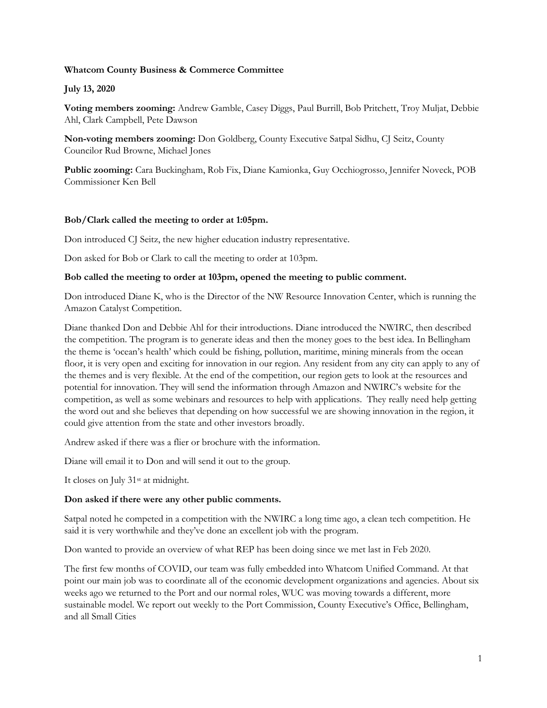# **Whatcom County Business & Commerce Committee**

## **July 13, 2020**

**Voting members zooming:** Andrew Gamble, Casey Diggs, Paul Burrill, Bob Pritchett, Troy Muljat, Debbie Ahl, Clark Campbell, Pete Dawson

**Non-voting members zooming:** Don Goldberg, County Executive Satpal Sidhu, CJ Seitz, County Councilor Rud Browne, Michael Jones

**Public zooming:** Cara Buckingham, Rob Fix, Diane Kamionka, Guy Occhiogrosso, Jennifer Noveck, POB Commissioner Ken Bell

## **Bob/Clark called the meeting to order at 1:05pm.**

Don introduced CJ Seitz, the new higher education industry representative.

Don asked for Bob or Clark to call the meeting to order at 103pm.

#### **Bob called the meeting to order at 103pm, opened the meeting to public comment.**

Don introduced Diane K, who is the Director of the NW Resource Innovation Center, which is running the Amazon Catalyst Competition.

Diane thanked Don and Debbie Ahl for their introductions. Diane introduced the NWIRC, then described the competition. The program is to generate ideas and then the money goes to the best idea. In Bellingham the theme is 'ocean's health' which could be fishing, pollution, maritime, mining minerals from the ocean floor, it is very open and exciting for innovation in our region. Any resident from any city can apply to any of the themes and is very flexible. At the end of the competition, our region gets to look at the resources and potential for innovation. They will send the information through Amazon and NWIRC's website for the competition, as well as some webinars and resources to help with applications. They really need help getting the word out and she believes that depending on how successful we are showing innovation in the region, it could give attention from the state and other investors broadly.

Andrew asked if there was a flier or brochure with the information.

Diane will email it to Don and will send it out to the group.

It closes on July 31<sup>st</sup> at midnight.

## **Don asked if there were any other public comments.**

Satpal noted he competed in a competition with the NWIRC a long time ago, a clean tech competition. He said it is very worthwhile and they've done an excellent job with the program.

Don wanted to provide an overview of what REP has been doing since we met last in Feb 2020.

The first few months of COVID, our team was fully embedded into Whatcom Unified Command. At that point our main job was to coordinate all of the economic development organizations and agencies. About six weeks ago we returned to the Port and our normal roles, WUC was moving towards a different, more sustainable model. We report out weekly to the Port Commission, County Executive's Office, Bellingham, and all Small Cities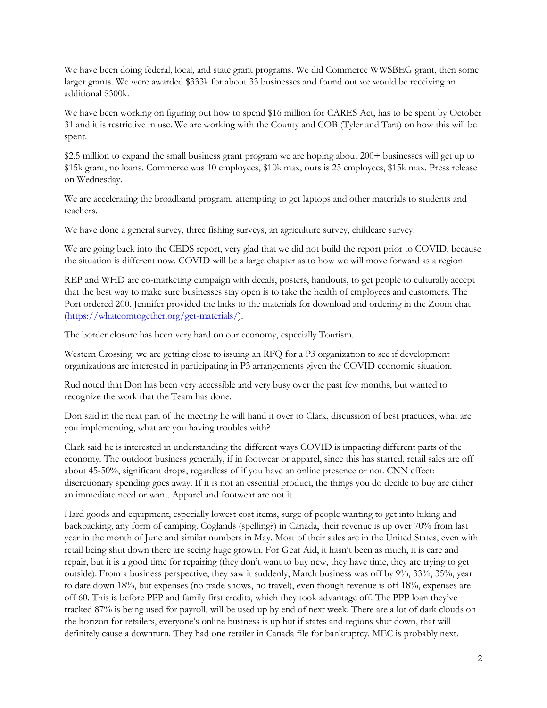We have been doing federal, local, and state grant programs. We did Commerce WWSBEG grant, then some larger grants. We were awarded \$333k for about 33 businesses and found out we would be receiving an additional \$300k.

We have been working on figuring out how to spend \$16 million for CARES Act, has to be spent by October 31 and it is restrictive in use. We are working with the County and COB (Tyler and Tara) on how this will be spent.

\$2.5 million to expand the small business grant program we are hoping about 200+ businesses will get up to \$15k grant, no loans. Commerce was 10 employees, \$10k max, ours is 25 employees, \$15k max. Press release on Wednesday.

We are accelerating the broadband program, attempting to get laptops and other materials to students and teachers.

We have done a general survey, three fishing surveys, an agriculture survey, childcare survey.

We are going back into the CEDS report, very glad that we did not build the report prior to COVID, because the situation is different now. COVID will be a large chapter as to how we will move forward as a region.

REP and WHD are co-marketing campaign with decals, posters, handouts, to get people to culturally accept that the best way to make sure businesses stay open is to take the health of employees and customers. The Port ordered 200. Jennifer provided the links to the materials for download and ordering in the Zoom chat [\(https://whatcomtogether.org/get-materials/\)](https://whatcomtogether.org/get-materials/).

The border closure has been very hard on our economy, especially Tourism.

Western Crossing: we are getting close to issuing an RFQ for a P3 organization to see if development organizations are interested in participating in P3 arrangements given the COVID economic situation.

Rud noted that Don has been very accessible and very busy over the past few months, but wanted to recognize the work that the Team has done.

Don said in the next part of the meeting he will hand it over to Clark, discussion of best practices, what are you implementing, what are you having troubles with?

Clark said he is interested in understanding the different ways COVID is impacting different parts of the economy. The outdoor business generally, if in footwear or apparel, since this has started, retail sales are off about 45-50%, significant drops, regardless of if you have an online presence or not. CNN effect: discretionary spending goes away. If it is not an essential product, the things you do decide to buy are either an immediate need or want. Apparel and footwear are not it.

Hard goods and equipment, especially lowest cost items, surge of people wanting to get into hiking and backpacking, any form of camping. Coglands (spelling?) in Canada, their revenue is up over 70% from last year in the month of June and similar numbers in May. Most of their sales are in the United States, even with retail being shut down there are seeing huge growth. For Gear Aid, it hasn't been as much, it is care and repair, but it is a good time for repairing (they don't want to buy new, they have time, they are trying to get outside). From a business perspective, they saw it suddenly, March business was off by 9%, 33%, 35%, year to date down 18%, but expenses (no trade shows, no travel), even though revenue is off 18%, expenses are off 60. This is before PPP and family first credits, which they took advantage off. The PPP loan they've tracked 87% is being used for payroll, will be used up by end of next week. There are a lot of dark clouds on the horizon for retailers, everyone's online business is up but if states and regions shut down, that will definitely cause a downturn. They had one retailer in Canada file for bankruptcy. MEC is probably next.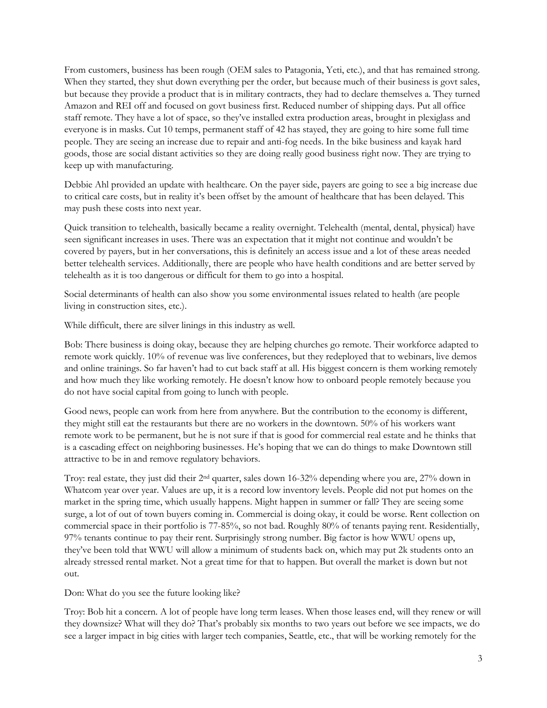From customers, business has been rough (OEM sales to Patagonia, Yeti, etc.), and that has remained strong. When they started, they shut down everything per the order, but because much of their business is govt sales, but because they provide a product that is in military contracts, they had to declare themselves a. They turned Amazon and REI off and focused on govt business first. Reduced number of shipping days. Put all office staff remote. They have a lot of space, so they've installed extra production areas, brought in plexiglass and everyone is in masks. Cut 10 temps, permanent staff of 42 has stayed, they are going to hire some full time people. They are seeing an increase due to repair and anti-fog needs. In the bike business and kayak hard goods, those are social distant activities so they are doing really good business right now. They are trying to keep up with manufacturing.

Debbie Ahl provided an update with healthcare. On the payer side, payers are going to see a big increase due to critical care costs, but in reality it's been offset by the amount of healthcare that has been delayed. This may push these costs into next year.

Quick transition to telehealth, basically became a reality overnight. Telehealth (mental, dental, physical) have seen significant increases in uses. There was an expectation that it might not continue and wouldn't be covered by payers, but in her conversations, this is definitely an access issue and a lot of these areas needed better telehealth services. Additionally, there are people who have health conditions and are better served by telehealth as it is too dangerous or difficult for them to go into a hospital.

Social determinants of health can also show you some environmental issues related to health (are people living in construction sites, etc.).

While difficult, there are silver linings in this industry as well.

Bob: There business is doing okay, because they are helping churches go remote. Their workforce adapted to remote work quickly. 10% of revenue was live conferences, but they redeployed that to webinars, live demos and online trainings. So far haven't had to cut back staff at all. His biggest concern is them working remotely and how much they like working remotely. He doesn't know how to onboard people remotely because you do not have social capital from going to lunch with people.

Good news, people can work from here from anywhere. But the contribution to the economy is different, they might still eat the restaurants but there are no workers in the downtown. 50% of his workers want remote work to be permanent, but he is not sure if that is good for commercial real estate and he thinks that is a cascading effect on neighboring businesses. He's hoping that we can do things to make Downtown still attractive to be in and remove regulatory behaviors.

Troy: real estate, they just did their 2nd quarter, sales down 16-32% depending where you are, 27% down in Whatcom year over year. Values are up, it is a record low inventory levels. People did not put homes on the market in the spring time, which usually happens. Might happen in summer or fall? They are seeing some surge, a lot of out of town buyers coming in. Commercial is doing okay, it could be worse. Rent collection on commercial space in their portfolio is 77-85%, so not bad. Roughly 80% of tenants paying rent. Residentially, 97% tenants continue to pay their rent. Surprisingly strong number. Big factor is how WWU opens up, they've been told that WWU will allow a minimum of students back on, which may put 2k students onto an already stressed rental market. Not a great time for that to happen. But overall the market is down but not out.

Don: What do you see the future looking like?

Troy: Bob hit a concern. A lot of people have long term leases. When those leases end, will they renew or will they downsize? What will they do? That's probably six months to two years out before we see impacts, we do see a larger impact in big cities with larger tech companies, Seattle, etc., that will be working remotely for the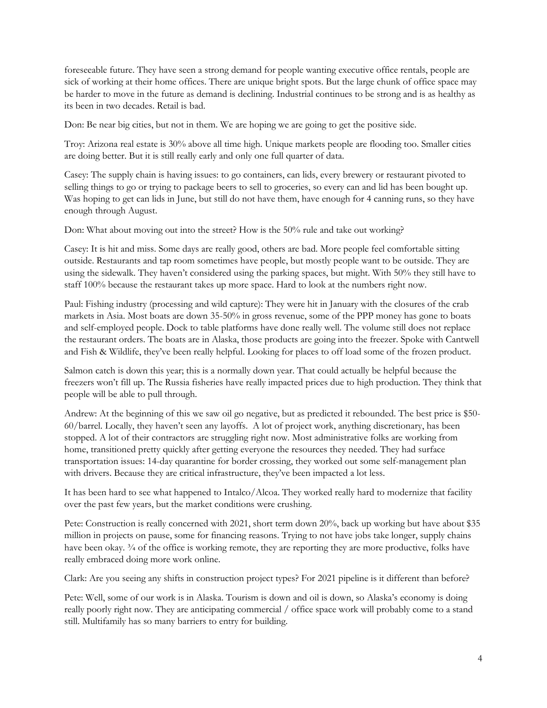foreseeable future. They have seen a strong demand for people wanting executive office rentals, people are sick of working at their home offices. There are unique bright spots. But the large chunk of office space may be harder to move in the future as demand is declining. Industrial continues to be strong and is as healthy as its been in two decades. Retail is bad.

Don: Be near big cities, but not in them. We are hoping we are going to get the positive side.

Troy: Arizona real estate is 30% above all time high. Unique markets people are flooding too. Smaller cities are doing better. But it is still really early and only one full quarter of data.

Casey: The supply chain is having issues: to go containers, can lids, every brewery or restaurant pivoted to selling things to go or trying to package beers to sell to groceries, so every can and lid has been bought up. Was hoping to get can lids in June, but still do not have them, have enough for 4 canning runs, so they have enough through August.

Don: What about moving out into the street? How is the 50% rule and take out working?

Casey: It is hit and miss. Some days are really good, others are bad. More people feel comfortable sitting outside. Restaurants and tap room sometimes have people, but mostly people want to be outside. They are using the sidewalk. They haven't considered using the parking spaces, but might. With 50% they still have to staff 100% because the restaurant takes up more space. Hard to look at the numbers right now.

Paul: Fishing industry (processing and wild capture): They were hit in January with the closures of the crab markets in Asia. Most boats are down 35-50% in gross revenue, some of the PPP money has gone to boats and self-employed people. Dock to table platforms have done really well. The volume still does not replace the restaurant orders. The boats are in Alaska, those products are going into the freezer. Spoke with Cantwell and Fish & Wildlife, they've been really helpful. Looking for places to off load some of the frozen product.

Salmon catch is down this year; this is a normally down year. That could actually be helpful because the freezers won't fill up. The Russia fisheries have really impacted prices due to high production. They think that people will be able to pull through.

Andrew: At the beginning of this we saw oil go negative, but as predicted it rebounded. The best price is \$50- 60/barrel. Locally, they haven't seen any layoffs. A lot of project work, anything discretionary, has been stopped. A lot of their contractors are struggling right now. Most administrative folks are working from home, transitioned pretty quickly after getting everyone the resources they needed. They had surface transportation issues: 14-day quarantine for border crossing, they worked out some self-management plan with drivers. Because they are critical infrastructure, they've been impacted a lot less.

It has been hard to see what happened to Intalco/Alcoa. They worked really hard to modernize that facility over the past few years, but the market conditions were crushing.

Pete: Construction is really concerned with 2021, short term down 20%, back up working but have about \$35 million in projects on pause, some for financing reasons. Trying to not have jobs take longer, supply chains have been okay.  $\frac{3}{4}$  of the office is working remote, they are reporting they are more productive, folks have really embraced doing more work online.

Clark: Are you seeing any shifts in construction project types? For 2021 pipeline is it different than before?

Pete: Well, some of our work is in Alaska. Tourism is down and oil is down, so Alaska's economy is doing really poorly right now. They are anticipating commercial / office space work will probably come to a stand still. Multifamily has so many barriers to entry for building.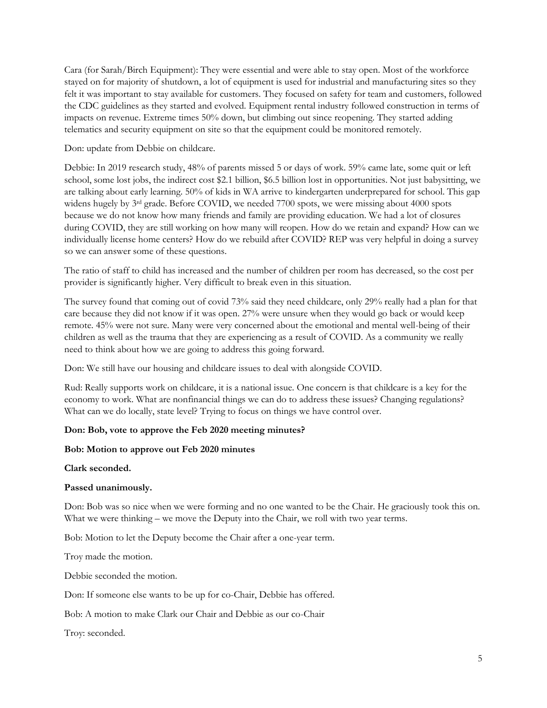Cara (for Sarah/Birch Equipment): They were essential and were able to stay open. Most of the workforce stayed on for majority of shutdown, a lot of equipment is used for industrial and manufacturing sites so they felt it was important to stay available for customers. They focused on safety for team and customers, followed the CDC guidelines as they started and evolved. Equipment rental industry followed construction in terms of impacts on revenue. Extreme times 50% down, but climbing out since reopening. They started adding telematics and security equipment on site so that the equipment could be monitored remotely.

Don: update from Debbie on childcare.

Debbie: In 2019 research study, 48% of parents missed 5 or days of work. 59% came late, some quit or left school, some lost jobs, the indirect cost \$2.1 billion, \$6.5 billion lost in opportunities. Not just babysitting, we are talking about early learning. 50% of kids in WA arrive to kindergarten underprepared for school. This gap widens hugely by 3rd grade. Before COVID, we needed 7700 spots, we were missing about 4000 spots because we do not know how many friends and family are providing education. We had a lot of closures during COVID, they are still working on how many will reopen. How do we retain and expand? How can we individually license home centers? How do we rebuild after COVID? REP was very helpful in doing a survey so we can answer some of these questions.

The ratio of staff to child has increased and the number of children per room has decreased, so the cost per provider is significantly higher. Very difficult to break even in this situation.

The survey found that coming out of covid 73% said they need childcare, only 29% really had a plan for that care because they did not know if it was open. 27% were unsure when they would go back or would keep remote. 45% were not sure. Many were very concerned about the emotional and mental well-being of their children as well as the trauma that they are experiencing as a result of COVID. As a community we really need to think about how we are going to address this going forward.

Don: We still have our housing and childcare issues to deal with alongside COVID.

Rud: Really supports work on childcare, it is a national issue. One concern is that childcare is a key for the economy to work. What are nonfinancial things we can do to address these issues? Changing regulations? What can we do locally, state level? Trying to focus on things we have control over.

## **Don: Bob, vote to approve the Feb 2020 meeting minutes?**

## **Bob: Motion to approve out Feb 2020 minutes**

**Clark seconded.**

#### **Passed unanimously.**

Don: Bob was so nice when we were forming and no one wanted to be the Chair. He graciously took this on. What we were thinking – we move the Deputy into the Chair, we roll with two year terms.

Bob: Motion to let the Deputy become the Chair after a one-year term.

Troy made the motion.

Debbie seconded the motion.

Don: If someone else wants to be up for co-Chair, Debbie has offered.

Bob: A motion to make Clark our Chair and Debbie as our co-Chair

Troy: seconded.